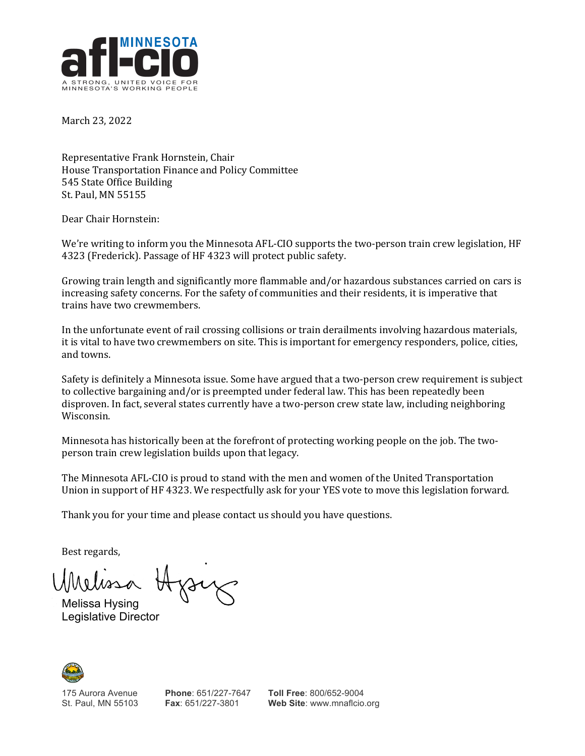

March 23, 2022

Representative Frank Hornstein, Chair House Transportation Finance and Policy Committee 545 State Office Building St. Paul, MN 55155

Dear Chair Hornstein:

We're writing to inform you the Minnesota AFL-CIO supports the two-person train crew legislation, HF 4323 (Frederick). Passage of HF 4323 will protect public safety.

Growing train length and significantly more flammable and/or hazardous substances carried on cars is increasing safety concerns. For the safety of communities and their residents, it is imperative that trains have two crewmembers.

In the unfortunate event of rail crossing collisions or train derailments involving hazardous materials, it is vital to have two crewmembers on site. This is important for emergency responders, police, cities, and towns.

Safety is definitely a Minnesota issue. Some have argued that a two-person crew requirement is subject to collective bargaining and/or is preempted under federal law. This has been repeatedly been disproven. In fact, several states currently have a two-person crew state law, including neighboring Wisconsin.

Minnesota has historically been at the forefront of protecting working people on the job. The twoperson train crew legislation builds upon that legacy.

The Minnesota AFL-CIO is proud to stand with the men and women of the United Transportation Union in support of HF 4323. We respectfully ask for your YES vote to move this legislation forward.

Thank you for your time and please contact us should you have questions.

Best regards,

relissa

Melissa Hysing Legislative Director



175 Aurora Avenue **Phone**: 651/227-7647 **Toll Free**: 800/652-9004 Fax: 651/227-3801 **Web Site**: www.mnaflcio.org